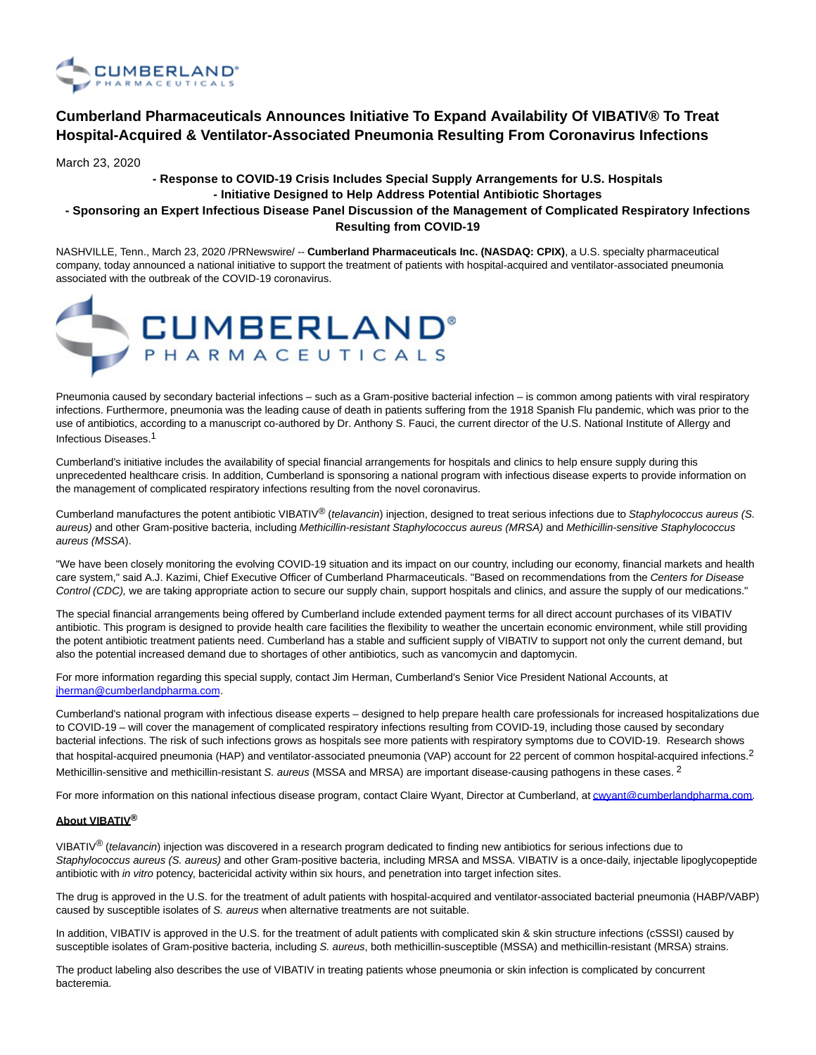

# **Cumberland Pharmaceuticals Announces Initiative To Expand Availability Of VIBATIV® To Treat Hospital-Acquired & Ventilator-Associated Pneumonia Resulting From Coronavirus Infections**

March 23, 2020

## **- Response to COVID-19 Crisis Includes Special Supply Arrangements for U.S. Hospitals - Initiative Designed to Help Address Potential Antibiotic Shortages**

## **- Sponsoring an Expert Infectious Disease Panel Discussion of the Management of Complicated Respiratory Infections Resulting from COVID-19**

NASHVILLE, Tenn., March 23, 2020 /PRNewswire/ -- **Cumberland Pharmaceuticals Inc. (NASDAQ: CPIX)**, a U.S. specialty pharmaceutical company, today announced a national initiative to support the treatment of patients with hospital-acquired and ventilator-associated pneumonia associated with the outbreak of the COVID-19 coronavirus.



Pneumonia caused by secondary bacterial infections – such as a Gram-positive bacterial infection – is common among patients with viral respiratory infections. Furthermore, pneumonia was the leading cause of death in patients suffering from the 1918 Spanish Flu pandemic, which was prior to the use of antibiotics, according to a manuscript co-authored by Dr. Anthony S. Fauci, the current director of the U.S. National Institute of Allergy and Infectious Diseases. 1

Cumberland's initiative includes the availability of special financial arrangements for hospitals and clinics to help ensure supply during this unprecedented healthcare crisis. In addition, Cumberland is sponsoring a national program with infectious disease experts to provide information on the management of complicated respiratory infections resulting from the novel coronavirus.

Cumberland manufactures the potent antibiotic VIBATIV® (telavancin) injection, designed to treat serious infections due to Staphylococcus aureus (S. aureus) and other Gram-positive bacteria, including Methicillin-resistant Staphylococcus aureus (MRSA) and Methicillin-sensitive Staphylococcus aureus (MSSA).

"We have been closely monitoring the evolving COVID-19 situation and its impact on our country, including our economy, financial markets and health care system," said A.J. Kazimi, Chief Executive Officer of Cumberland Pharmaceuticals. "Based on recommendations from the Centers for Disease Control (CDC), we are taking appropriate action to secure our supply chain, support hospitals and clinics, and assure the supply of our medications."

The special financial arrangements being offered by Cumberland include extended payment terms for all direct account purchases of its VIBATIV antibiotic. This program is designed to provide health care facilities the flexibility to weather the uncertain economic environment, while still providing the potent antibiotic treatment patients need. Cumberland has a stable and sufficient supply of VIBATIV to support not only the current demand, but also the potential increased demand due to shortages of other antibiotics, such as vancomycin and daptomycin.

For more information regarding this special supply, contact Jim Herman, Cumberland's Senior Vice President National Accounts, at [jherman@cumberlandpharma.com.](mailto:jherman@cumberlandpharma.com)

Cumberland's national program with infectious disease experts – designed to help prepare health care professionals for increased hospitalizations due to COVID-19 – will cover the management of complicated respiratory infections resulting from COVID-19, including those caused by secondary bacterial infections. The risk of such infections grows as hospitals see more patients with respiratory symptoms due to COVID-19. Research shows that hospital-acquired pneumonia (HAP) and ventilator-associated pneumonia (VAP) account for 22 percent of common hospital-acquired infections.<sup>2</sup> Methicillin-sensitive and methicillin-resistant S. aureus (MSSA and MRSA) are important disease-causing pathogens in these cases. <sup>2</sup>

For more information on this national infectious disease program, contact Claire Wyant, Director at Cumberland, a[t cwyant@cumberlandpharma.com.](mailto:cwyant@cumberlandpharma.com)

### **About VIBATIV®**

VIBATIV® (telavancin) injection was discovered in a research program dedicated to finding new antibiotics for serious infections due to Staphylococcus aureus (S. aureus) and other Gram-positive bacteria, including MRSA and MSSA. VIBATIV is a once-daily, injectable lipoglycopeptide antibiotic with in vitro potency, bactericidal activity within six hours, and penetration into target infection sites.

The drug is approved in the U.S. for the treatment of adult patients with hospital-acquired and ventilator-associated bacterial pneumonia (HABP/VABP) caused by susceptible isolates of S. aureus when alternative treatments are not suitable.

In addition, VIBATIV is approved in the U.S. for the treatment of adult patients with complicated skin & skin structure infections (cSSSI) caused by susceptible isolates of Gram-positive bacteria, including S. aureus, both methicillin-susceptible (MSSA) and methicillin-resistant (MRSA) strains.

The product labeling also describes the use of VIBATIV in treating patients whose pneumonia or skin infection is complicated by concurrent bacteremia.